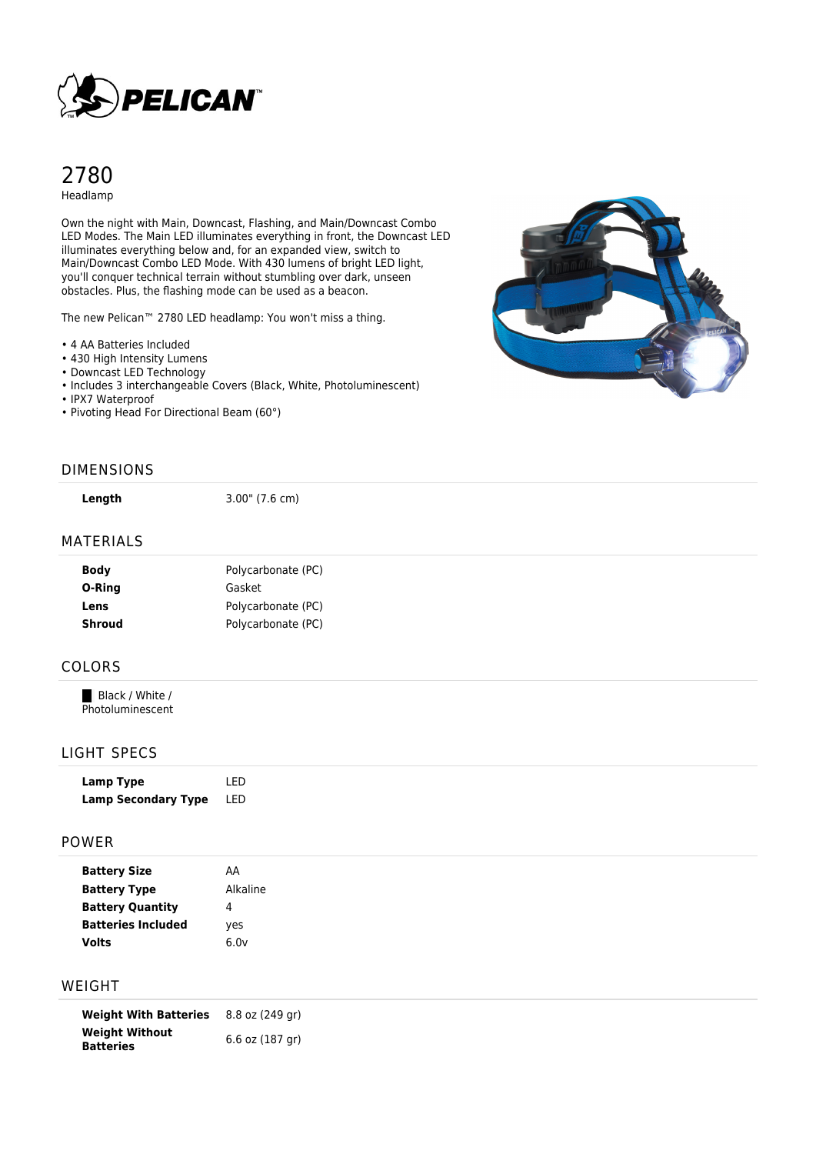

# 2780 Headlamp

Own the night with Main, Downcast, Flashing, and Main/Downcast Combo LED Modes. The Main LED illuminates everything in front, the Downcast LED illuminates everything below and, for an expanded view, switch to Main/Downcast Combo LED Mode. With 430 lumens of bright LED light, you'll conquer technical terrain without stumbling over dark, unseen obstacles. Plus, the flashing mode can be used as a beacon.

The new Pelican™ 2780 LED headlamp: You won't miss a thing.

- 4 AA Batteries Included
- 430 High Intensity Lumens
- Downcast LED Technology
- Includes 3 interchangeable Covers (Black, White, Photoluminescent)
- IPX7 Waterproof
- Pivoting Head For Directional Beam (60°)



#### DIMENSIONS

**Length** 3.00" (7.6 cm)

#### MATERIALS

| <b>Body</b>   | Polycarbonate (PC) |
|---------------|--------------------|
| O-Ring        | Gasket             |
| Lens          | Polycarbonate (PC) |
| <b>Shroud</b> | Polycarbonate (PC) |
|               |                    |

### COLORS

Black / White / Photoluminescent

### LIGHT SPECS

| Lamp Type                  | I FD |
|----------------------------|------|
| <b>Lamp Secondary Type</b> | LED  |

#### POWER

| <b>Battery Size</b>       | AA       |  |
|---------------------------|----------|--|
| <b>Battery Type</b>       | Alkaline |  |
| <b>Battery Quantity</b>   | 4        |  |
| <b>Batteries Included</b> | ves      |  |
| <b>Volts</b>              | 6.0v     |  |

## WEIGHT

**Weight With Batteries** 8.8 oz (249 gr) **Weight Without Batteries** 6.6 oz (187 gr)